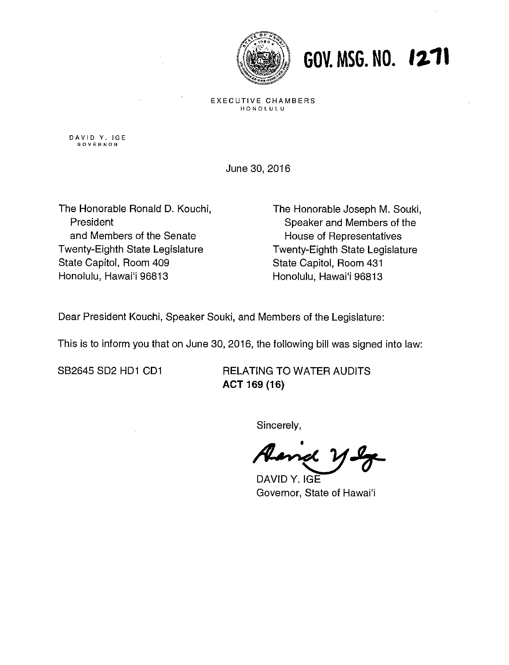

### GOV. MSG. NO. 1271

EXECUTIVE CHAMBERS HONOLULU

**DAVID Y. IGE GOVERNOR** 

June 30,2016

The Honorable Ronald D. Kouchi, President and Members of the Senate Twenty-Eighth State Legislature State Capitol, Room 409 Honolulu, Hawai'i 96813

The Honorable Joseph M. Souki, Speaker and Members of the House of Representatives Twenty-Eighth State Legislature State Capitol, Room 431 Honolulu, Hawai'i 96813

Dear President Kouchi, Speaker Souki, and Members of the Legislature:

This is to inform you that on June 30, 2016, the following bill was signed into law:

SB2645 SD2 HD1 CD1 RELATING TO WATER AUDITS **ACT 169 (I 6)** 

Sincerely,

DAVID **Y.** IGE Governor. State of Hawai'i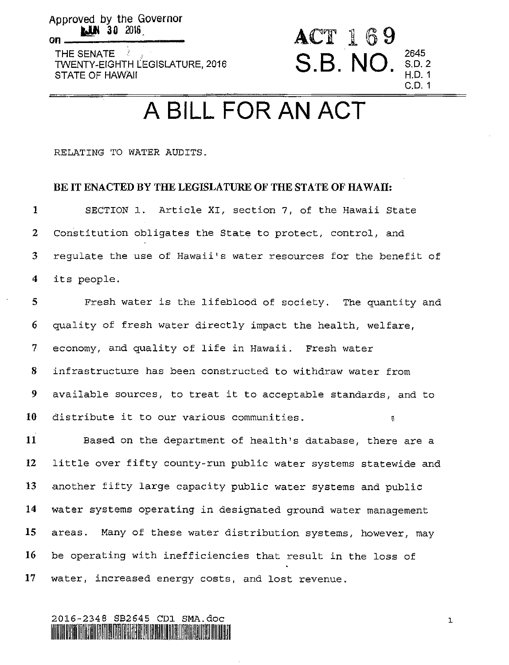Approved **by** the Governor *30* **2016.** 

**On** 

THE SENATE TWENTY-EIGHTH LEGISLATURE, 2016 STATE **OF** HAWAII

## A BILL FOR AN ACT

S.B. NO.  $_{H.D.1}^{2645}$ 

ACT 169

C.D. 1

RELATING TO WATER AUDITS.

#### **BE IT ENACTED BY THE LEGISLATURE OF THE STATE OF HAWAII:**

**1 2**  *3*  **4**  SECTION 1. Article XI, section 7, of the Hawaii State Constitution obligates the State to protect, control, and regulate the use of Hawaii's water resources for the benefit of its people.

**5 6 7 8 9 10**  Fresh water is the lifeblood of society. The quantity and quality of fresh water directly impact the health, welfare, economy, and quality of life in Hawaii. Fresh water infrastructure has been constructed to withdraw water from available sources, to treat it to acceptable standards, and to distribute it to our various communities. **<sup>a</sup>**

**i i 12 13 14 15 16 17**  Based on the department of health's database, there are a little over fifty county-run public water systems statewide and another fifty large capacity public water systems and public water systems operating in designated ground water management areas. Many of these water distribution systems, however, may be operating with inefficiencies that result in the loss of water, increased energy costs, and lost revenue.

#### 2016-2348 **SB2645 CD1** SMA.doC 111111 111~111:111l1ll?~n1.11111111'[14l~I11.181111\_111ill!ll~1111~111 lllll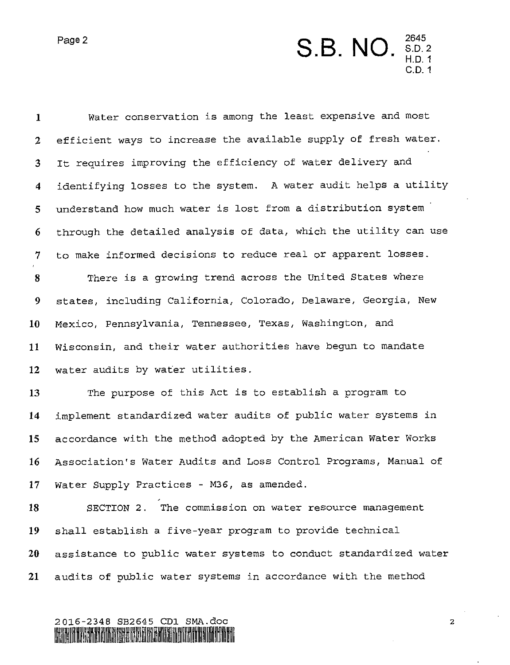

| $\mathbf 1$          | Water conservation is among the least expensive and most         |
|----------------------|------------------------------------------------------------------|
| $\mathbf{2}$         | efficient ways to increase the available supply of fresh water.  |
| 3                    | It requires improving the efficiency of water delivery and       |
| $\blacktriangleleft$ | identifying losses to the system. A water audit helps a utility  |
| 5                    | understand how much water is lost from a distribution system     |
| 6                    | through the detailed analysis of data, which the utility can use |
| 7                    | to make informed decisions to reduce real or apparent losses.    |
| 8                    | There is a growing trend across the United States where          |
| 9                    | states, including California, Colorado, Delaware, Georgia, New   |
| 10                   | Mexico, Pennsylvania, Tennessee, Texas, Washington, and          |
| 11                   | Wisconsin, and their water authorities have begun to mandate     |
| 12                   | water audits by water utilities.                                 |
| 13                   | The purpose of this Act is to establish a program to             |
| 14                   | implement standardized water audits of public water systems in   |
| 15                   | accordance with the method adopted by the American Water Works   |
| 16                   | Association's Water Audits and Loss Control Programs, Manual of  |
| 17                   | Water Supply Practices - M36, as amended.                        |
| 18                   | SECTION 2. The commission on water resource management           |
| 19                   | shall establish a five-year program to provide technical         |
| 20                   | assistance to public water systems to conduct standardized water |
| 21                   | audits of public water systems in accordance with the method     |

# 2016-2348 SB2645 CD1 SMA.doc<br>MANUSAMMANA MARIA MARIA MARIA 1999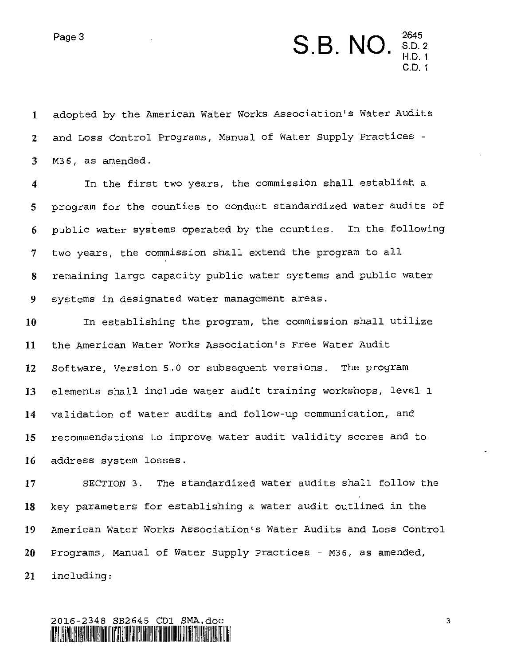## Page 3 **2645**<br>**2645**<br>**2645**<br>**2645**<br>**2645**<br>**2645**<br>**2645**<br>**2645** C.D. 1

**1 2 3**  adopted by the American Water Works Association's Water Audits and Loss Control Programs, Manual of Water Supply Practices - **M36,** as amended.

**4 5 6 7 8 9**  In the first two years, the commission shall establish a program for the counties to conduct standardized water audits of public water systems operated by the counties. In the following two years, the commission shall extend the program to all remaining large capacity public water systems and public water systems in designated water management areas.

**10 11 12 13 14 15 16**  In establishing the program, the commission shall utilize the American Water Works Association's Free Water Audit software, Version 5.0 or subsequent versions. The program elements shall include water audit training workshops, level 1 validation of water audits and follow-up communication, and recommendations to improve water audit validity scores and to address system losses.

**17**  SECTION **3.** The standardized water audits shall follow the **18 19** American Water Works Association's Water Audits and Loss Control **20** Programs, Manual of Water Supply Practices - **M36,** as amended, **21** including: key parameters for establishing a water audit outlined in the

### **2016-2348 SB2645** CD1 SPlA.doC IlllilJ3lillill~IIIIIl'l151J1!111. III11111.1111!lUlill~lUII.II'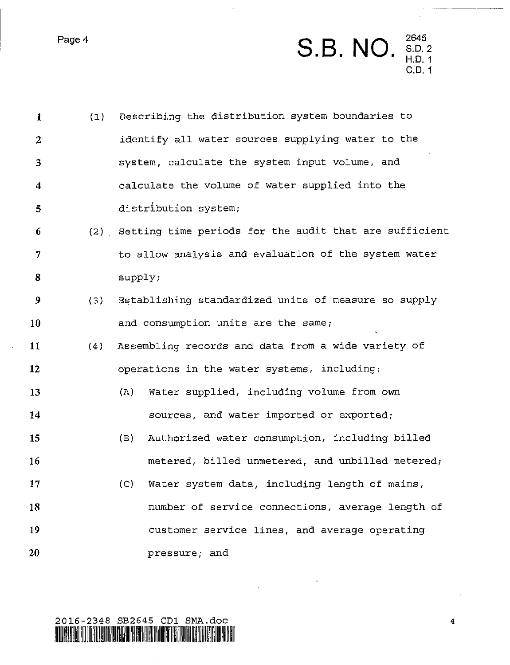Page 4

|          | 2645   |
|----------|--------|
| S.B. NO. | S.D. 2 |
|          | H.D. 1 |
|          | C.D. 1 |

Ξ.

| $\mathbf{1}$     | (1) | Describing the distribution system boundaries to           |
|------------------|-----|------------------------------------------------------------|
| $\mathbf{2}$     |     | identify all water sources supplying water to the          |
| 3                |     | system, calculate the system input volume, and             |
| $\boldsymbol{4}$ |     | calculate the volume of water supplied into the            |
| 5                |     | distribution system;                                       |
| 6                |     | (2) Setting time periods for the audit that are sufficient |
| $7\phantom{.}$   |     | to allow analysis and evaluation of the system water       |
| 8                |     | supply;                                                    |
| $\boldsymbol{9}$ | (3) | Establishing standardized units of measure so supply       |
| 10               |     | and consumption units are the same;                        |
| 11               | (4) | Assembling records and data from a wide variety of         |
| 12               |     | operations in the water systems, including:                |
| 13               |     | Water supplied, including volume from own<br>(A)           |
| 14               |     | sources, and water imported or exported;                   |
| 15               |     | Authorized water consumption, including billed<br>(B)      |
| 16               |     | metered, billed unmetered, and unbilled metered;           |
| 17               |     | Water system data, including length of mains,<br>(C)       |
| 18               |     | number of service connections, average length of           |
| 19               |     | customer service lines, and average operating              |
| 20               |     | pressure; and                                              |

 $\bar{\star}$ 

 $\mathcal{L}^{\mathcal{A}}$ 

 $\hat{\phi}$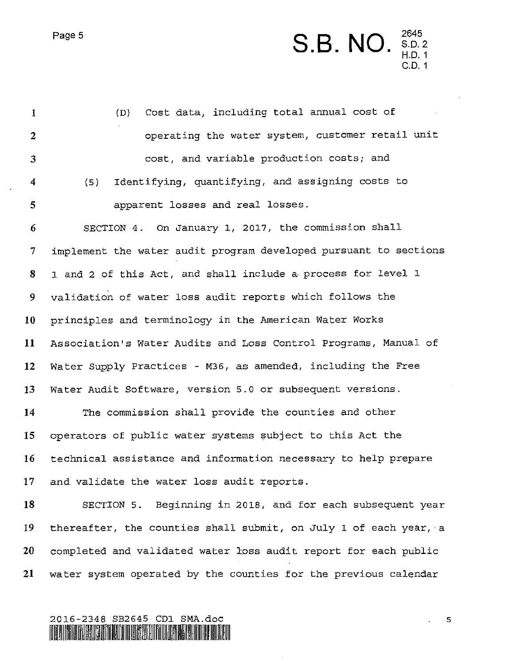### Page 5 **<sup>2645</sup>**S.B. NO s.D.~ ' H.D. 1 2645<br>S.D. 2<br>H.D. 1<br>C.D. 1

| $\mathbf{I}$            | Cost data, including total annual cost of<br>(D)                 |
|-------------------------|------------------------------------------------------------------|
| $\boldsymbol{2}$        | operating the water system, customer retail unit                 |
| 3                       | cost, and variable production costs; and                         |
| $\overline{\mathbf{4}}$ | Identifying, quantifying, and assigning costs to<br>(5)          |
| 5                       | apparent losses and real losses.                                 |
| 6                       | SECTION 4. On January 1, 2017, the commission shall              |
| 7                       | implement the water audit program developed pursuant to sections |
| 8                       | 1 and 2 of this Act, and shall include a process for level 1     |
| 9                       | validation of water loss audit reports which follows the         |
| 10                      | principles and terminology in the American Water Works           |
| 11                      | Association's Water Audits and Loss Control Programs, Manual of  |
| 12                      | Water Supply Practices - M36, as amended, including the Free     |
| 13                      | Water Audit Software, version 5.0 or subsequent versions.        |
| 14                      | The commission shall provide the counties and other              |
| 15                      | operators of public water systems subject to this Act the        |
| 16                      | technical assistance and information necessary to help prepare   |
| 17                      | and validate the water loss audit reports.                       |
| 18                      | SECTION 5. Beginning in 2018, and for each subsequent year       |
| 19                      | thereafter, the counties shall submit, on July 1 of each year, a |
| 20                      | completed and validated water loss audit report for each public  |
| 21                      | water system operated by the counties for the previous calendar  |



**.5**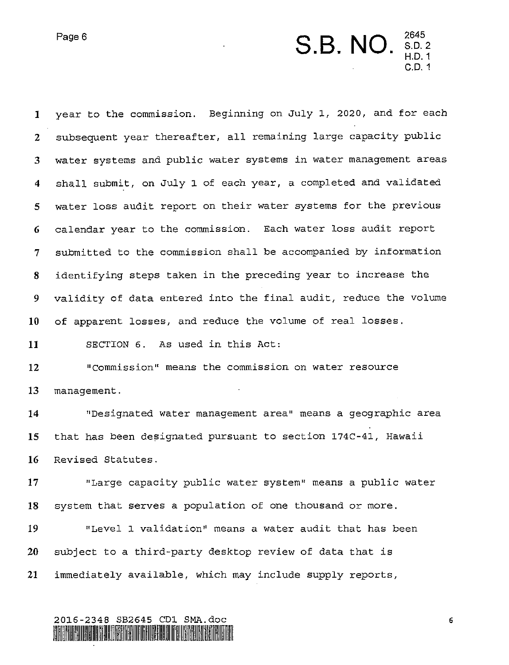

**1** year to the commission. Beginning on July 1, 2020, and for each **2 3 4 5 6 7 8 9 10 11 12 13 14 15 16 17 18 19 20**  subsequent year thereafter, all remaining large capacity public water systems and public water systems in water management areas shall submit, on July 1 of each year, a completed and validated water loss audit report on their water systems for the previous calendar year to the commission. Each water loss audit report submitted to the commission shall be accompanied by information identifying steps taken in the preceding year to increase the validity of data entered into the final audit, reduce the volume of apparent losses, and reduce the volume of real losses. SECTION 6. As used in this Act: "Commission" means the commission on water resource management. "Designated water management area" means a geographic area that has been designated pursuant to section 174C-41, Hawaii Revised Statutes. "Large capacity public water system" means a public water system that serves a population of one thousand or more. "Level 1 validation" means a water audit that has been subject to a third-party desktop review of data that is

**21**  immediately available, which may include supply reports,

#### 2016-2348 SB2645 CD1 SMA.doc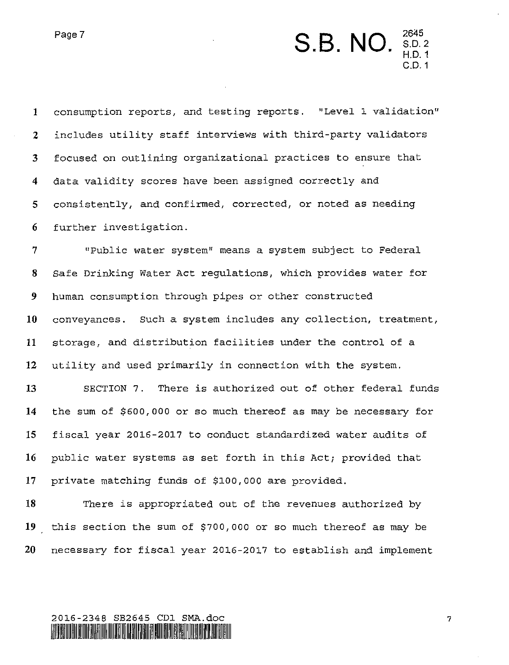

**1 2 3 4 5 6 7 8**  consumption reports, and testing reports. "Level 1 validation" includes utility staff interviews with third-party validators focused on outlining organizational practices to ensure that data validity scores have been assigned correctly and consistently, and confirmed, corrected, or noted as needing further investigation. "Public water system" means a system subject to Federal Safe Drinking Water Act regulations, which provides water for

**9 10 11 12**  human consumption through pipes or other constructed conveyances. Such a system includes any collection, treatment, storage, and distribution facilities under the control of a utility and used primarily in connection with the system.

**13 14 15 16 17 SECTION 7.** There is authorized out of other federal funds the sum of **\$600,000** or *so* much thereof as may be necessary for fiscal year **2016-2017** to conduct standardized water audits of public water systems as set forth in this Act; provided that private matching funds of \$100,000 are provided.

**18 19 20**  There is appropriated out of the revenues authorized by this section the sum of \$700,000 or *so* much thereof as may be necessary for fiscal year **2016-2017** to establish and implement

#### 2016-2348 SB2645 CD1 SMA.doc I lllililll ll.ll:ll~.ll11.11~~111111111111;11 CIIl.I1lI:lJllllil~l11l1\$111